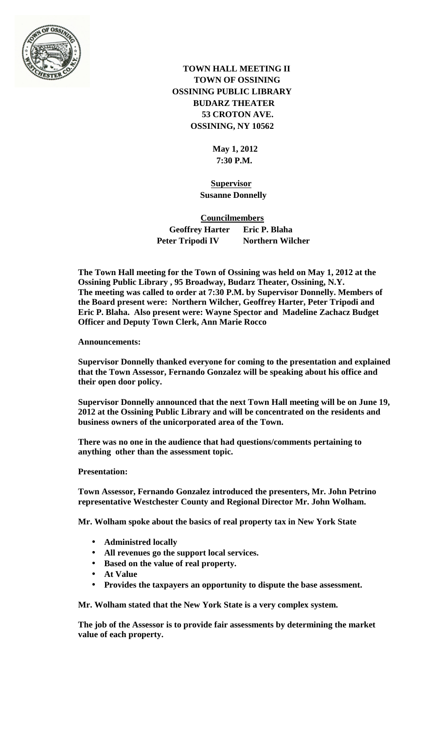

 **TOWN HALL MEETING II TOWN OF OSSINING OSSINING PUBLIC LIBRARY BUDARZ THEATER 53 CROTON AVE. OSSINING, NY 10562**

> **May 1, 2012 7:30 P.M.**

 **Supervisor Susanne Donnelly**

 **Councilmembers Geoffrey Harter Eric P. Blaha Peter Tripodi IV Northern Wilcher** 

**The Town Hall meeting for the Town of Ossining was held on May 1, 2012 at the Ossining Public Library , 95 Broadway, Budarz Theater, Ossining, N.Y. The meeting was called to order at 7:30 P.M. by Supervisor Donnelly. Members of the Board present were: Northern Wilcher, Geoffrey Harter, Peter Tripodi and Eric P. Blaha. Also present were: Wayne Spector and Madeline Zachacz Budget Officer and Deputy Town Clerk, Ann Marie Rocco**

## **Announcements:**

**Supervisor Donnelly thanked everyone for coming to the presentation and explained that the Town Assessor, Fernando Gonzalez will be speaking about his office and their open door policy.**

**Supervisor Donnelly announced that the next Town Hall meeting will be on June 19, 2012 at the Ossining Public Library and will be concentrated on the residents and business owners of the unicorporated area of the Town.**

**There was no one in the audience that had questions/comments pertaining to anything other than the assessment topic.**

## **Presentation:**

**Town Assessor, Fernando Gonzalez introduced the presenters, Mr. John Petrino representative Westchester County and Regional Director Mr. John Wolham.**

**Mr. Wolham spoke about the basics of real property tax in New York State**

- **Administred locally**
- **All revenues go the support local services.**
- **Based on the value of real property.**
- **At Value**
- **Provides the taxpayers an opportunity to dispute the base assessment.**  $\mathbf{L}^{\text{max}}$

**Mr. Wolham stated that the New York State is a very complex system.**

**The job of the Assessor is to provide fair assessments by determining the market value of each property.**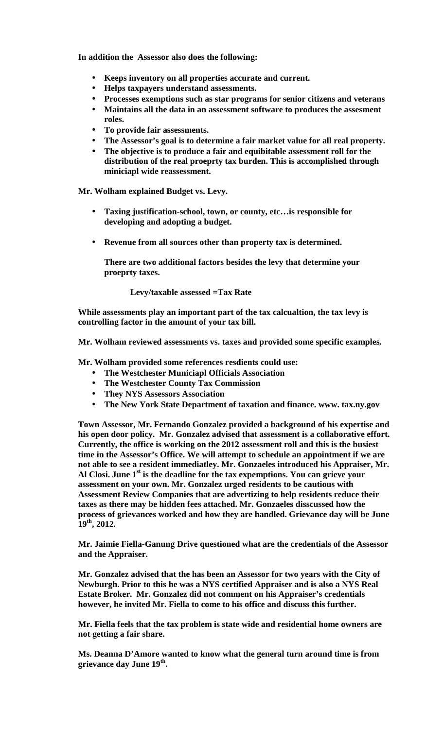**In addition the Assessor also does the following:**

- **Keeps inventory on all properties accurate and current.**
- **Helps taxpayers understand assessments.**
- **Processes exemptions such as star programs for senior citizens and veterans**  $\mathbf{r}$
- **Maintains all the data in an assessment software to produces the assesment**   $\mathbf{L}$ **roles.**
- **To provide fair assessments.**
- **The Assessor's goal is to determine a fair market value for all real property.**
- **The objective is to produce a fair and equibitable assessment roll for the distribution of the real proeprty tax burden. This is accomplished through miniciapl wide reassessment.**

**Mr. Wolham explained Budget vs. Levy.**

- **Taxing justification-school, town, or county, etc…is responsible for developing and adopting a budget.**
- **Revenue from all sources other than property tax is determined.**

**There are two additional factors besides the levy that determine your proeprty taxes.**

**Levy/taxable assessed =Tax Rate**

**While assessments play an important part of the tax calcualtion, the tax levy is controlling factor in the amount of your tax bill.**

**Mr. Wolham reviewed assessments vs. taxes and provided some specific examples.**

**Mr. Wolham provided some references resdients could use:**

- **The Westchester Municiapl Officials Association**
- **The Westchester County Tax Commission**
- **They NYS Assessors Association**
- **The New York State Department of taxation and finance. www. tax.ny.gov**

**Town Assessor, Mr. Fernando Gonzalez provided a background of his expertise and his open door policy. Mr. Gonzalez advised that assessment is a collaborative effort. Currently, the office is working on the 2012 assessment roll and this is the busiest time in the Assessor's Office. We will attempt to schedule an appointment if we are not able to see a resident immediatley. Mr. Gonzaeles introduced his Appraiser, Mr. Al Closi. June 1st is the deadline for the tax expemptions. You can grieve your assessment on your own. Mr. Gonzalez urged residents to be cautious with Assessment Review Companies that are advertizing to help residents reduce their taxes as there may be hidden fees attached. Mr. Gonzaeles disscussed how the process of grievances worked and how they are handled. Grievance day will be June 19th, 2012.**

**Mr. Jaimie Fiella-Ganung Drive questioned what are the credentials of the Assessor and the Appraiser.** 

**Mr. Gonzalez advised that the has been an Assessor for two years with the City of Newburgh. Prior to this he was a NYS certified Appraiser and is also a NYS Real Estate Broker. Mr. Gonzalez did not comment on his Appraiser's credentials however, he invited Mr. Fiella to come to his office and discuss this further.**

**Mr. Fiella feels that the tax problem is state wide and residential home owners are not getting a fair share.** 

**Ms. Deanna D'Amore wanted to know what the general turn around time is from grievance day June 19th.**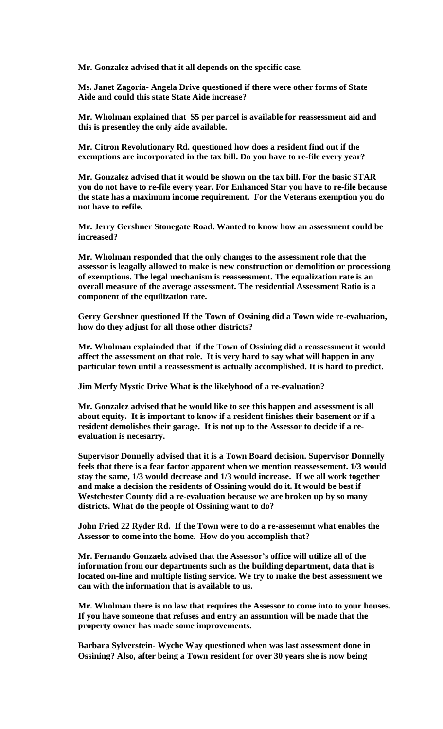**Mr. Gonzalez advised that it all depends on the specific case.**

**Ms. Janet Zagoria- Angela Drive questioned if there were other forms of State Aide and could this state State Aide increase?** 

**Mr. Wholman explained that \$5 per parcel is available for reassessment aid and this is presentley the only aide available.**

**Mr. Citron Revolutionary Rd. questioned how does a resident find out if the exemptions are incorporated in the tax bill. Do you have to re-file every year?**

**Mr. Gonzalez advised that it would be shown on the tax bill. For the basic STAR you do not have to re-file every year. For Enhanced Star you have to re-file because the state has a maximum income requirement. For the Veterans exemption you do not have to refile.**

**Mr. Jerry Gershner Stonegate Road. Wanted to know how an assessment could be increased?**

**Mr. Wholman responded that the only changes to the assessment role that the assessor is leagally allowed to make is new construction or demolition or processiong of exemptions. The legal mechanism is reassessment. The equalization rate is an overall measure of the average assessment. The residential Assessment Ratio is a component of the equilization rate.** 

**Gerry Gershner questioned If the Town of Ossining did a Town wide re-evaluation, how do they adjust for all those other districts?** 

**Mr. Wholman explainded that if the Town of Ossining did a reassessment it would affect the assessment on that role. It is very hard to say what will happen in any particular town until a reassessment is actually accomplished. It is hard to predict.**

**Jim Merfy Mystic Drive What is the likelyhood of a re-evaluation?**

**Mr. Gonzalez advised that he would like to see this happen and assessment is all about equity. It is important to know if a resident finishes their basement or if a resident demolishes their garage. It is not up to the Assessor to decide if a reevaluation is necesarry.**

**Supervisor Donnelly advised that it is a Town Board decision. Supervisor Donnelly feels that there is a fear factor apparent when we mention reassessement. 1/3 would stay the same, 1/3 would decrease and 1/3 would increase. If we all work together and make a decision the residents of Ossining would do it. It would be best if Westchester County did a re-evaluation because we are broken up by so many districts. What do the people of Ossining want to do?**

**John Fried 22 Ryder Rd. If the Town were to do a re-assesemnt what enables the Assessor to come into the home. How do you accomplish that?**

**Mr. Fernando Gonzaelz advised that the Assessor's office will utilize all of the information from our departments such as the building department, data that is located on-line and multiple listing service. We try to make the best assessment we can with the information that is available to us.** 

**Mr. Wholman there is no law that requires the Assessor to come into to your houses. If you have someone that refuses and entry an assumtion will be made that the property owner has made some improvements.**

**Barbara Sylverstein- Wyche Way questioned when was last assessment done in Ossining? Also, after being a Town resident for over 30 years she is now being**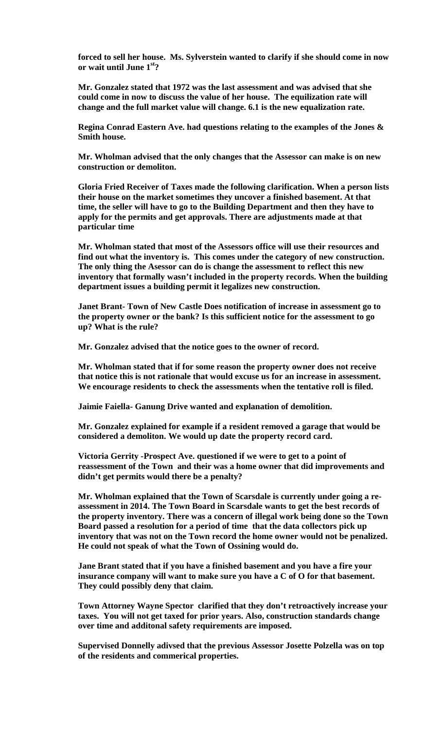**forced to sell her house. Ms. Sylverstein wanted to clarify if she should come in now or wait until June 1st?**

**Mr. Gonzalez stated that 1972 was the last assessment and was advised that she could come in now to discuss the value of her house. The equilization rate will change and the full market value will change. 6.1 is the new equalization rate.** 

**Regina Conrad Eastern Ave. had questions relating to the examples of the Jones & Smith house.** 

**Mr. Wholman advised that the only changes that the Assessor can make is on new construction or demoliton.** 

**Gloria Fried Receiver of Taxes made the following clarification. When a person lists their house on the market sometimes they uncover a finished basement. At that time, the seller will have to go to the Building Department and then they have to apply for the permits and get approvals. There are adjustments made at that particular time**

**Mr. Wholman stated that most of the Assessors office will use their resources and find out what the inventory is. This comes under the category of new construction. The only thing the Asessor can do is change the assessment to reflect this new inventory that formally wasn't included in the property records. When the building department issues a building permit it legalizes new construction.** 

**Janet Brant- Town of New Castle Does notification of increase in assessment go to the property owner or the bank? Is this sufficient notice for the assessment to go up? What is the rule?**

**Mr. Gonzalez advised that the notice goes to the owner of record.**

**Mr. Wholman stated that if for some reason the property owner does not receive that notice this is not rationale that would excuse us for an increase in assessment. We encourage residents to check the assessments when the tentative roll is filed.** 

**Jaimie Faiella- Ganung Drive wanted and explanation of demolition.**

**Mr. Gonzalez explained for example if a resident removed a garage that would be considered a demoliton. We would up date the property record card.**

**Victoria Gerrity -Prospect Ave. questioned if we were to get to a point of reassessment of the Town and their was a home owner that did improvements and didn't get permits would there be a penalty?**

**Mr. Wholman explained that the Town of Scarsdale is currently under going a reassessment in 2014. The Town Board in Scarsdale wants to get the best records of the property inventory. There was a concern of illegal work being done so the Town Board passed a resolution for a period of time that the data collectors pick up inventory that was not on the Town record the home owner would not be penalized. He could not speak of what the Town of Ossining would do.**

**Jane Brant stated that if you have a finished basement and you have a fire your insurance company will want to make sure you have a C of O for that basement. They could possibly deny that claim.** 

**Town Attorney Wayne Spector clarified that they don't retroactively increase your taxes. You will not get taxed for prior years. Also, construction standards change over time and additonal safety requirements are imposed.**

**Supervised Donnelly adivsed that the previous Assessor Josette Polzella was on top of the residents and commerical properties.**